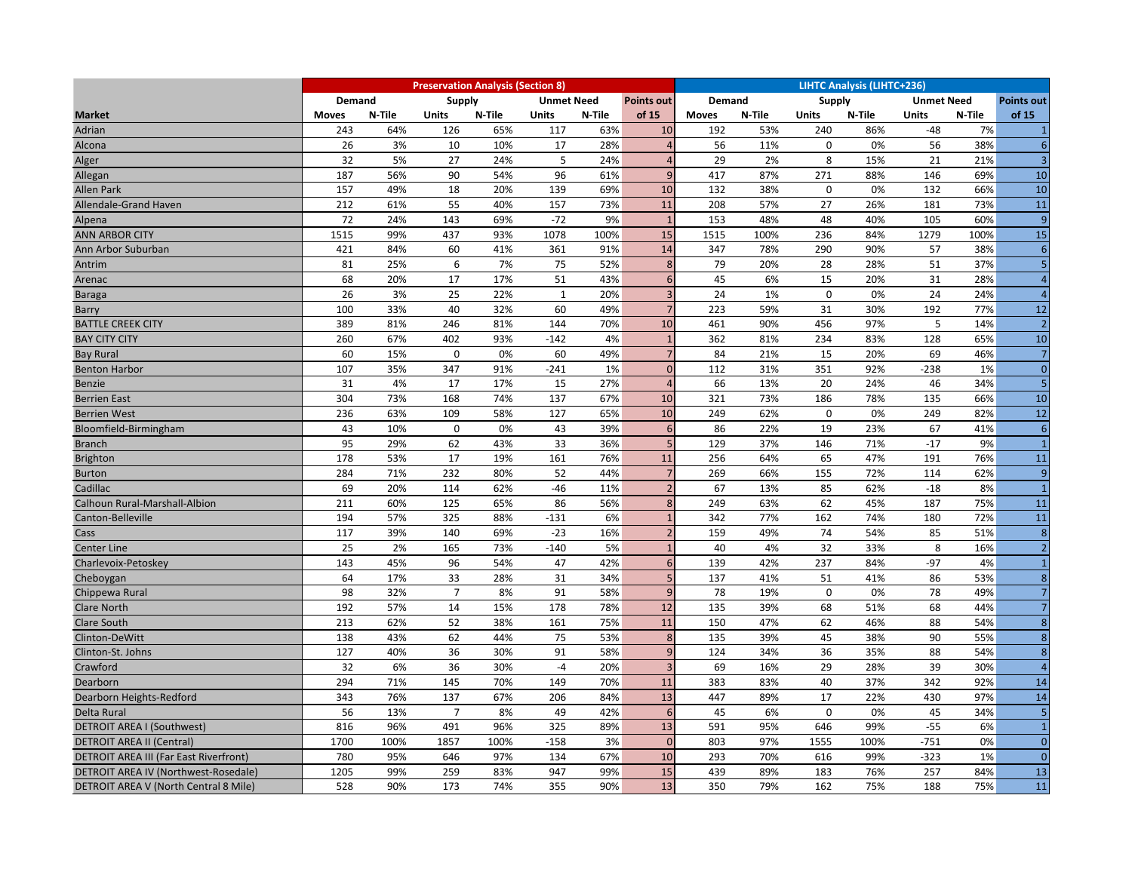|                                        | <b>Preservation Analysis (Section 8)</b> |        |                                                         |        |              |        |                 |               | <b>LIHTC Analysis (LIHTC+236)</b> |               |        |                   |        |                   |  |  |
|----------------------------------------|------------------------------------------|--------|---------------------------------------------------------|--------|--------------|--------|-----------------|---------------|-----------------------------------|---------------|--------|-------------------|--------|-------------------|--|--|
|                                        | <b>Demand</b>                            |        | <b>Supply</b><br><b>Unmet Need</b><br><b>Points out</b> |        |              |        |                 | <b>Demand</b> |                                   | <b>Supply</b> |        | <b>Unmet Need</b> |        | <b>Points out</b> |  |  |
| <b>Market</b>                          | <b>Moves</b>                             | N-Tile | <b>Units</b>                                            | N-Tile | Units        | N-Tile | of 15           | <b>Moves</b>  | N-Tile                            | <b>Units</b>  | N-Tile | <b>Units</b>      | N-Tile | of 15             |  |  |
| Adrian                                 | 243                                      | 64%    | 126                                                     | 65%    | 117          | 63%    | 10              | 192           | 53%                               | 240           | 86%    | $-48$             | 7%     | $\mathbf{1}$      |  |  |
| Alcona                                 | 26                                       | 3%     | 10                                                      | 10%    | 17           | 28%    | $\overline{4}$  | 56            | 11%                               | $\mathbf 0$   | 0%     | 56                | 38%    | $6\phantom{1}6$   |  |  |
| Alger                                  | 32                                       | 5%     | 27                                                      | 24%    | 5            | 24%    | $\overline{4}$  | 29            | 2%                                | 8             | 15%    | 21                | 21%    | $\overline{3}$    |  |  |
| Allegan                                | 187                                      | 56%    | 90                                                      | 54%    | 96           | 61%    | 9               | 417           | 87%                               | 271           | 88%    | 146               | 69%    | 10                |  |  |
| <b>Allen Park</b>                      | 157                                      | 49%    | 18                                                      | 20%    | 139          | 69%    | 10              | 132           | 38%                               | $\mathbf 0$   | 0%     | 132               | 66%    | 10                |  |  |
| Allendale-Grand Haven                  | 212                                      | 61%    | 55                                                      | 40%    | 157          | 73%    | 11              | 208           | 57%                               | 27            | 26%    | 181               | 73%    | 11                |  |  |
| Alpena                                 | 72                                       | 24%    | 143                                                     | 69%    | $-72$        | 9%     | $\overline{1}$  | 153           | 48%                               | 48            | 40%    | 105               | 60%    | $\overline{9}$    |  |  |
| <b>ANN ARBOR CITY</b>                  | 1515                                     | 99%    | 437                                                     | 93%    | 1078         | 100%   | 15              | 1515          | 100%                              | 236           | 84%    | 1279              | 100%   | 15                |  |  |
| Ann Arbor Suburban                     | 421                                      | 84%    | 60                                                      | 41%    | 361          | 91%    | 14              | 347           | 78%                               | 290           | 90%    | 57                | 38%    | 6                 |  |  |
| Antrim                                 | 81                                       | 25%    | 6                                                       | 7%     | 75           | 52%    | 8               | 79            | 20%                               | 28            | 28%    | 51                | 37%    | 5                 |  |  |
| Arenac                                 | 68                                       | 20%    | 17                                                      | 17%    | 51           | 43%    | 6               | 45            | 6%                                | 15            | 20%    | 31                | 28%    | $\overline{4}$    |  |  |
| Baraga                                 | 26                                       | 3%     | 25                                                      | 22%    | $\mathbf{1}$ | 20%    | $\overline{3}$  | 24            | 1%                                | $\mathbf 0$   | 0%     | 24                | 24%    | $\overline{4}$    |  |  |
| Barry                                  | 100                                      | 33%    | 40                                                      | 32%    | 60           | 49%    | $\overline{7}$  | 223           | 59%                               | 31            | 30%    | 192               | 77%    | $\overline{12}$   |  |  |
| <b>BATTLE CREEK CITY</b>               | 389                                      | 81%    | 246                                                     | 81%    | 144          | 70%    | 10              | 461           | 90%                               | 456           | 97%    | 5                 | 14%    | $\overline{2}$    |  |  |
| <b>BAY CITY CITY</b>                   | 260                                      | 67%    | 402                                                     | 93%    | -142         | 4%     | $\overline{1}$  | 362           | 81%                               | 234           | 83%    | 128               | 65%    | 10                |  |  |
| <b>Bay Rural</b>                       | 60                                       | 15%    | $\mathbf 0$                                             | 0%     | 60           | 49%    | $\overline{7}$  | 84            | 21%                               | 15            | 20%    | 69                | 46%    | $\overline{7}$    |  |  |
| <b>Benton Harbor</b>                   | 107                                      | 35%    | 347                                                     | 91%    | $-241$       | 1%     | $\mathbf{0}$    | 112           | 31%                               | 351           | 92%    | $-238$            | 1%     | $\mathbf{0}$      |  |  |
| <b>Benzie</b>                          | 31                                       | 4%     | 17                                                      | 17%    | 15           | 27%    | $\overline{A}$  | 66            | 13%                               | 20            | 24%    | 46                | 34%    | 5                 |  |  |
| <b>Berrien East</b>                    | 304                                      | 73%    | 168                                                     | 74%    | 137          | 67%    | 10              | 321           | 73%                               | 186           | 78%    | 135               | 66%    | 10                |  |  |
| <b>Berrien West</b>                    | 236                                      | 63%    | 109                                                     | 58%    | 127          | 65%    | 10              | 249           | 62%                               | $\mathbf 0$   | 0%     | 249               | 82%    | 12                |  |  |
| Bloomfield-Birmingham                  | 43                                       | 10%    | $\mathbf{0}$                                            | 0%     | 43           | 39%    | $6\overline{6}$ | 86            | 22%                               | 19            | 23%    | 67                | 41%    | $\sqrt{6}$        |  |  |
| <b>Branch</b>                          | 95                                       | 29%    | 62                                                      | 43%    | 33           | 36%    | 5               | 129           | 37%                               | 146           | 71%    | $-17$             | 9%     | $\overline{1}$    |  |  |
| <b>Brighton</b>                        | 178                                      | 53%    | 17                                                      | 19%    | 161          | 76%    | 11              | 256           | 64%                               | 65            | 47%    | 191               | 76%    | 11                |  |  |
| <b>Burton</b>                          | 284                                      | 71%    | 232                                                     | 80%    | 52           | 44%    | $\overline{7}$  | 269           | 66%                               | 155           | 72%    | 114               | 62%    | $\overline{9}$    |  |  |
| Cadillac                               | 69                                       | 20%    | 114                                                     | 62%    | $-46$        | 11%    | $\overline{2}$  | 67            | 13%                               | 85            | 62%    | $-18$             | 8%     | $\overline{1}$    |  |  |
| Calhoun Rural-Marshall-Albion          | 211                                      | 60%    | 125                                                     | 65%    | 86           | 56%    | 8               | 249           | 63%                               | 62            | 45%    | 187               | 75%    | 11                |  |  |
| Canton-Belleville                      | 194                                      | 57%    | 325                                                     | 88%    | $-131$       | 6%     | $\overline{1}$  | 342           | 77%                               | 162           | 74%    | 180               | 72%    | 11                |  |  |
| Cass                                   | 117                                      | 39%    | 140                                                     | 69%    | $-23$        | 16%    | $\overline{2}$  | 159           | 49%                               | 74            | 54%    | 85                | 51%    | $\boldsymbol{8}$  |  |  |
| <b>Center Line</b>                     | 25                                       | 2%     | 165                                                     | 73%    | $-140$       | 5%     | $\overline{1}$  | 40            | 4%                                | 32            | 33%    | 8                 | 16%    | $\overline{2}$    |  |  |
| Charlevoix-Petoskey                    | 143                                      | 45%    | 96                                                      | 54%    | 47           | 42%    | $6\overline{6}$ | 139           | 42%                               | 237           | 84%    | $-97$             | 4%     | $\mathbf{1}$      |  |  |
| Cheboygan                              | 64                                       | 17%    | 33                                                      | 28%    | 31           | 34%    | 5               | 137           | 41%                               | 51            | 41%    | 86                | 53%    | 8                 |  |  |
| Chippewa Rural                         | 98                                       | 32%    | $\overline{7}$                                          | 8%     | 91           | 58%    | 9               | 78            | 19%                               | $\mathbf 0$   | 0%     | 78                | 49%    | $\overline{7}$    |  |  |
| <b>Clare North</b>                     | 192                                      | 57%    | 14                                                      | 15%    | 178          | 78%    | 12              | 135           | 39%                               | 68            | 51%    | 68                | 44%    | $\overline{7}$    |  |  |
| <b>Clare South</b>                     | 213                                      | 62%    | 52                                                      | 38%    | 161          | 75%    | 11              | 150           | 47%                               | 62            | 46%    | 88                | 54%    | $\boldsymbol{8}$  |  |  |
| Clinton-DeWitt                         | 138                                      | 43%    | 62                                                      | 44%    | 75           | 53%    | 8               | 135           | 39%                               | 45            | 38%    | 90                | 55%    | $\boldsymbol{8}$  |  |  |
| Clinton-St. Johns                      | 127                                      | 40%    | 36                                                      | 30%    | 91           | 58%    | 9               | 124           | 34%                               | 36            | 35%    | 88                | 54%    | $\boldsymbol{8}$  |  |  |
| Crawford                               | 32                                       | 6%     | 36                                                      | 30%    | $-4$         | 20%    | $\overline{3}$  | 69            | 16%                               | 29            | 28%    | 39                | 30%    | $\overline{4}$    |  |  |
| Dearborn                               | 294                                      | 71%    | 145                                                     | 70%    | 149          | 70%    | 11              | 383           | 83%                               | 40            | 37%    | 342               | 92%    | 14                |  |  |
| Dearborn Heights-Redford               | 343                                      | 76%    | 137                                                     | 67%    | 206          | 84%    | 13              | 447           | 89%                               | 17            | 22%    | 430               | 97%    | 14                |  |  |
| Delta Rural                            | 56                                       | 13%    | $\overline{7}$                                          | 8%     | 49           | 42%    | $6\phantom{1}6$ | 45            | 6%                                | $\mathbf 0$   | 0%     | 45                | 34%    | $\overline{5}$    |  |  |
| DETROIT AREA I (Southwest)             | 816                                      | 96%    | 491                                                     | 96%    | 325          | 89%    | 13              | 591           | 95%                               | 646           | 99%    | $-55$             | 6%     | $\overline{1}$    |  |  |
| <b>DETROIT AREA II (Central)</b>       | 1700                                     | 100%   | 1857                                                    | 100%   | $-158$       | 3%     | $\mathbf{0}$    | 803           | 97%                               | 1555          | 100%   | $-751$            | 0%     | $\mathbf{0}$      |  |  |
| DETROIT AREA III (Far East Riverfront) | 780                                      | 95%    | 646                                                     | 97%    | 134          | 67%    | 10              | 293           | 70%                               | 616           | 99%    | $-323$            | 1%     | $\overline{0}$    |  |  |
| DETROIT AREA IV (Northwest-Rosedale)   | 1205                                     | 99%    | 259                                                     | 83%    | 947          | 99%    | 15              | 439           | 89%                               | 183           | 76%    | 257               | 84%    | 13                |  |  |
| DETROIT AREA V (North Central 8 Mile)  | 528                                      | 90%    | 173                                                     | 74%    | 355          | 90%    | 13              | 350           | 79%                               | 162           | 75%    | 188               | 75%    | 11                |  |  |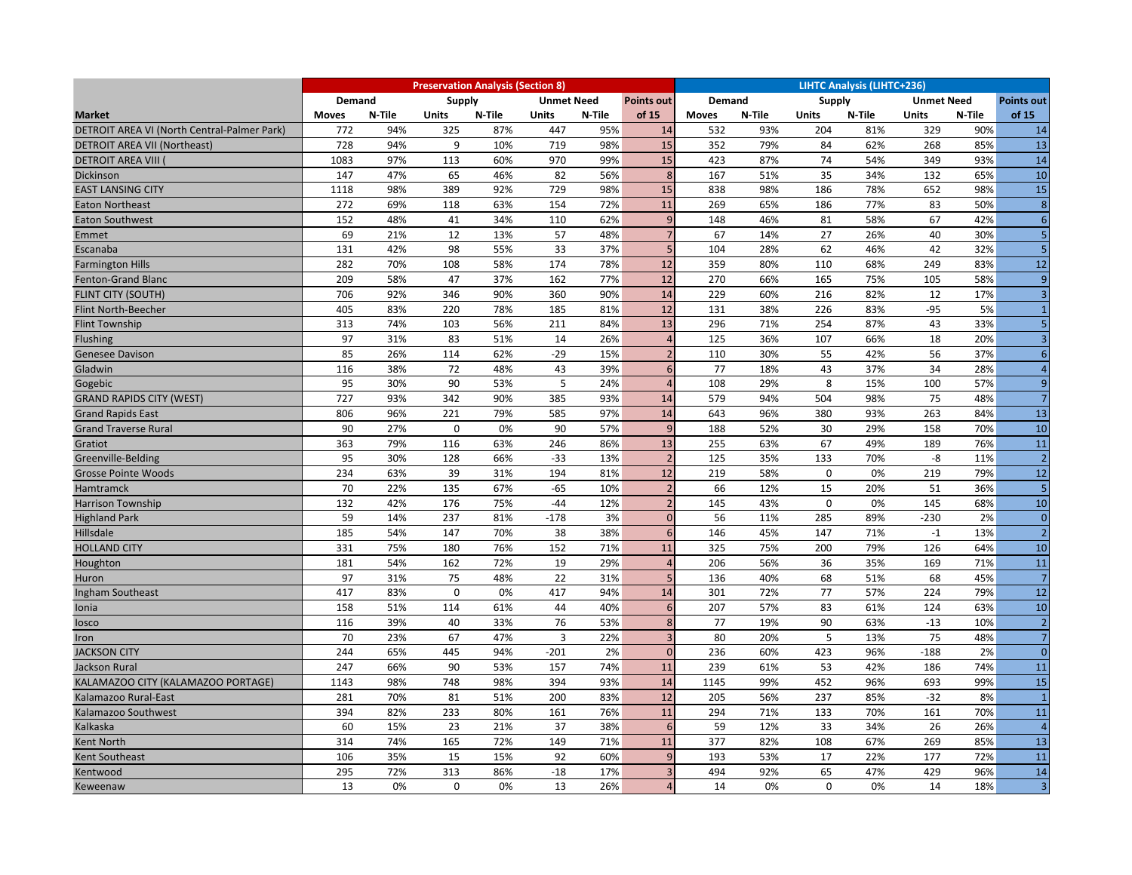|                                             |              |        |                                                  | <b>Preservation Analysis (Section 8)</b> |                |        |                          | <b>LIHTC Analysis (LIHTC+236)</b> |        |              |        |                   |        |                         |  |
|---------------------------------------------|--------------|--------|--------------------------------------------------|------------------------------------------|----------------|--------|--------------------------|-----------------------------------|--------|--------------|--------|-------------------|--------|-------------------------|--|
|                                             | Demand       |        | Supply<br><b>Unmet Need</b><br><b>Points out</b> |                                          |                |        |                          | Demand                            |        | Supply       |        | <b>Unmet Need</b> |        | <b>Points out</b>       |  |
| <b>Market</b>                               | <b>Moves</b> | N-Tile | <b>Units</b>                                     | N-Tile                                   | <b>Units</b>   | N-Tile | of 15                    | <b>Moves</b>                      | N-Tile | <b>Units</b> | N-Tile | <b>Units</b>      | N-Tile | of 15                   |  |
| DETROIT AREA VI (North Central-Palmer Park) | 772          | 94%    | 325                                              | 87%                                      | 447            | 95%    | 14                       | 532                               | 93%    | 204          | 81%    | 329               | 90%    | 14                      |  |
| <b>DETROIT AREA VII (Northeast)</b>         | 728          | 94%    | 9                                                | 10%                                      | 719            | 98%    | 15                       | 352                               | 79%    | 84           | 62%    | 268               | 85%    | $\overline{13}$         |  |
| <b>DETROIT AREA VIII</b>                    | 1083         | 97%    | 113                                              | 60%                                      | 970            | 99%    | 15                       | 423                               | 87%    | 74           | 54%    | 349               | 93%    | 14                      |  |
| Dickinson                                   | 147          | 47%    | 65                                               | 46%                                      | 82             | 56%    | 8                        | 167                               | 51%    | 35           | 34%    | 132               | 65%    | 10                      |  |
| <b>EAST LANSING CITY</b>                    | 1118         | 98%    | 389                                              | 92%                                      | 729            | 98%    | 15                       | 838                               | 98%    | 186          | 78%    | 652               | 98%    | 15                      |  |
| <b>Eaton Northeast</b>                      | 272          | 69%    | 118                                              | 63%                                      | 154            | 72%    | 11                       | 269                               | 65%    | 186          | 77%    | 83                | 50%    | 8                       |  |
| <b>Eaton Southwest</b>                      | 152          | 48%    | 41                                               | 34%                                      | 110            | 62%    | 9                        | 148                               | 46%    | 81           | 58%    | 67                | 42%    | $6 \overline{6}$        |  |
| Emmet                                       | 69           | 21%    | 12                                               | 13%                                      | 57             | 48%    | $\overline{7}$           | 67                                | 14%    | 27           | 26%    | 40                | 30%    | 5 <sub>1</sub>          |  |
| Escanaba                                    | 131          | 42%    | 98                                               | 55%                                      | 33             | 37%    | 5                        | 104                               | 28%    | 62           | 46%    | 42                | 32%    | 5 <sub>1</sub>          |  |
| <b>Farmington Hills</b>                     | 282          | 70%    | 108                                              | 58%                                      | 174            | 78%    | 12                       | 359                               | 80%    | 110          | 68%    | 249               | 83%    | 12                      |  |
| Fenton-Grand Blanc                          | 209          | 58%    | 47                                               | 37%                                      | 162            | 77%    | 12                       | 270                               | 66%    | 165          | 75%    | 105               | 58%    | 9                       |  |
| <b>FLINT CITY (SOUTH)</b>                   | 706          | 92%    | 346                                              | 90%                                      | 360            | 90%    | 14                       | 229                               | 60%    | 216          | 82%    | 12                | 17%    | $\overline{\mathbf{3}}$ |  |
| Flint North-Beecher                         | 405          | 83%    | 220                                              | 78%                                      | 185            | 81%    | 12                       | 131                               | 38%    | 226          | 83%    | $-95$             | 5%     | $\mathbf{1}$            |  |
| <b>Flint Township</b>                       | 313          | 74%    | 103                                              | 56%                                      | 211            | 84%    | 13                       | 296                               | 71%    | 254          | 87%    | 43                | 33%    | 5 <sup>1</sup>          |  |
| Flushing                                    | 97           | 31%    | 83                                               | 51%                                      | 14             | 26%    | $\overline{4}$           | 125                               | 36%    | 107          | 66%    | 18                | 20%    | $\overline{3}$          |  |
| <b>Genesee Davison</b>                      | 85           | 26%    | 114                                              | 62%                                      | $-29$          | 15%    | $\overline{\phantom{a}}$ | 110                               | 30%    | 55           | 42%    | 56                | 37%    | $6 \overline{6}$        |  |
| Gladwin                                     | 116          | 38%    | 72                                               | 48%                                      | 43             | 39%    | $6\phantom{1}6$          | 77                                | 18%    | 43           | 37%    | 34                | 28%    | $\overline{4}$          |  |
| Gogebic                                     | 95           | 30%    | 90                                               | 53%                                      | 5              | 24%    | $\overline{4}$           | 108                               | 29%    | 8            | 15%    | 100               | 57%    | 9                       |  |
| <b>GRAND RAPIDS CITY (WEST)</b>             | 727          | 93%    | 342                                              | 90%                                      | 385            | 93%    | 14                       | 579                               | 94%    | 504          | 98%    | 75                | 48%    | 7 <sup>1</sup>          |  |
| <b>Grand Rapids East</b>                    | 806          | 96%    | 221                                              | 79%                                      | 585            | 97%    | 14                       | 643                               | 96%    | 380          | 93%    | 263               | 84%    | $\overline{13}$         |  |
| <b>Grand Traverse Rural</b>                 | 90           | 27%    | $\mathbf 0$                                      | 0%                                       | 90             | 57%    | 9                        | 188                               | 52%    | 30           | 29%    | 158               | 70%    | 10                      |  |
| Gratiot                                     | 363          | 79%    | 116                                              | 63%                                      | 246            | 86%    | 13                       | 255                               | 63%    | 67           | 49%    | 189               | 76%    | $\overline{11}$         |  |
| Greenville-Belding                          | 95           | 30%    | 128                                              | 66%                                      | $-33$          | 13%    | $\overline{2}$           | 125                               | 35%    | 133          | 70%    | -8                | 11%    | 2                       |  |
| <b>Grosse Pointe Woods</b>                  | 234          | 63%    | 39                                               | 31%                                      | 194            | 81%    | 12                       | 219                               | 58%    | $\mathbf 0$  | 0%     | 219               | 79%    | 12                      |  |
| Hamtramck                                   | 70           | 22%    | 135                                              | 67%                                      | $-65$          | 10%    | $\overline{2}$           | 66                                | 12%    | 15           | 20%    | 51                | 36%    | $5\phantom{.}$          |  |
| <b>Harrison Township</b>                    | 132          | 42%    | 176                                              | 75%                                      | $-44$          | 12%    | $\overline{2}$           | 145                               | 43%    | $\mathbf 0$  | 0%     | 145               | 68%    | 10                      |  |
| <b>Highland Park</b>                        | 59           | 14%    | 237                                              | 81%                                      | $-178$         | 3%     | $\mathbf{0}$             | 56                                | 11%    | 285          | 89%    | $-230$            | 2%     | $\overline{0}$          |  |
| Hillsdale                                   | 185          | 54%    | 147                                              | 70%                                      | 38             | 38%    | $6\phantom{1}6$          | 146                               | 45%    | 147          | 71%    | $-1$              | 13%    | 2                       |  |
| <b>HOLLAND CITY</b>                         | 331          | 75%    | 180                                              | 76%                                      | 152            | 71%    | 11                       | 325                               | 75%    | 200          | 79%    | 126               | 64%    | 10                      |  |
| Houghton                                    | 181          | 54%    | 162                                              | 72%                                      | 19             | 29%    | $\overline{4}$           | 206                               | 56%    | 36           | 35%    | 169               | 71%    | 11                      |  |
| Huron                                       | 97           | 31%    | 75                                               | 48%                                      | 22             | 31%    | 5                        | 136                               | 40%    | 68           | 51%    | 68                | 45%    | 7                       |  |
| Ingham Southeast                            | 417          | 83%    | $\mathbf 0$                                      | 0%                                       | 417            | 94%    | 14                       | 301                               | 72%    | 77           | 57%    | 224               | 79%    | $\overline{12}$         |  |
| Ionia                                       | 158          | 51%    | 114                                              | 61%                                      | 44             | 40%    | 6                        | 207                               | 57%    | 83           | 61%    | 124               | 63%    | 10                      |  |
| losco                                       | 116          | 39%    | 40                                               | 33%                                      | 76             | 53%    | 8                        | 77                                | 19%    | 90           | 63%    | $-13$             | 10%    | 2                       |  |
| Iron                                        | 70           | 23%    | 67                                               | 47%                                      | $\overline{3}$ | 22%    | $\overline{3}$           | 80                                | 20%    | 5            | 13%    | 75                | 48%    | 7 <sup>1</sup>          |  |
| <b>JACKSON CITY</b>                         | 244          | 65%    | 445                                              | 94%                                      | -201           | 2%     | $\mathbf{0}$             | 236                               | 60%    | 423          | 96%    | $-188$            | 2%     | $\overline{0}$          |  |
| Jackson Rural                               | 247          | 66%    | 90                                               | 53%                                      | 157            | 74%    | 11                       | 239                               | 61%    | 53           | 42%    | 186               | 74%    | 11                      |  |
| KALAMAZOO CITY (KALAMAZOO PORTAGE)          | 1143         | 98%    | 748                                              | 98%                                      | 394            | 93%    | 14                       | 1145                              | 99%    | 452          | 96%    | 693               | 99%    | 15                      |  |
| Kalamazoo Rural-East                        | 281          | 70%    | 81                                               | 51%                                      | 200            | 83%    | 12                       | 205                               | 56%    | 237          | 85%    | $-32$             | 8%     | $\mathbf{1}$            |  |
| Kalamazoo Southwest                         | 394          | 82%    | 233                                              | 80%                                      | 161            | 76%    | 11                       | 294                               | 71%    | 133          | 70%    | 161               | 70%    | 11                      |  |
| Kalkaska                                    | 60           | 15%    | 23                                               | 21%                                      | 37             | 38%    | $6\overline{6}$          | 59                                | 12%    | 33           | 34%    | 26                | 26%    | $\overline{4}$          |  |
| <b>Kent North</b>                           | 314          | 74%    | 165                                              | 72%                                      | 149            | 71%    | 11                       | 377                               | 82%    | 108          | 67%    | 269               | 85%    | 13                      |  |
| Kent Southeast                              | 106          | 35%    | 15                                               | 15%                                      | 92             | 60%    | 9                        | 193                               | 53%    | 17           | 22%    | 177               | 72%    | 11                      |  |
| Kentwood                                    | 295          | 72%    | 313                                              | 86%                                      | $-18$          | 17%    | $\overline{3}$           | 494                               | 92%    | 65           | 47%    | 429               | 96%    | 14                      |  |
| Keweenaw                                    | 13           | 0%     | $\mathbf{0}$                                     | 0%                                       | 13             | 26%    | $\overline{4}$           | 14                                | 0%     | $\mathbf 0$  | 0%     | 14                | 18%    | $\overline{3}$          |  |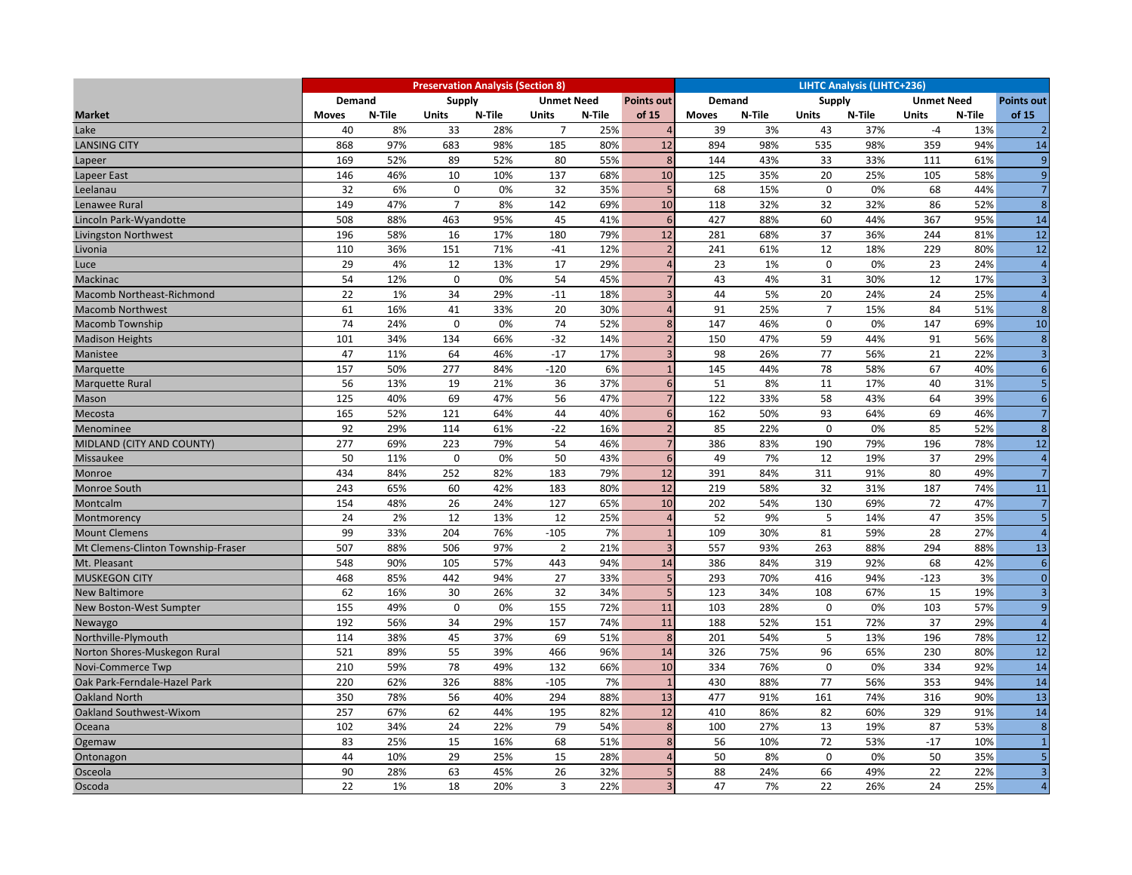|                                    | <b>Preservation Analysis (Section 8)</b> |        |                                                         |        |                |        |                 |               | <b>LIHTC Analysis (LIHTC+236)</b> |                |        |                   |        |                   |  |  |  |
|------------------------------------|------------------------------------------|--------|---------------------------------------------------------|--------|----------------|--------|-----------------|---------------|-----------------------------------|----------------|--------|-------------------|--------|-------------------|--|--|--|
|                                    | <b>Demand</b>                            |        | <b>Supply</b><br><b>Unmet Need</b><br><b>Points out</b> |        |                |        |                 | <b>Demand</b> |                                   | <b>Supply</b>  |        | <b>Unmet Need</b> |        | <b>Points out</b> |  |  |  |
| <b>Market</b>                      | <b>Moves</b>                             | N-Tile | <b>Units</b>                                            | N-Tile | <b>Units</b>   | N-Tile | of 15           | <b>Moves</b>  | N-Tile                            | <b>Units</b>   | N-Tile | <b>Units</b>      | N-Tile | of 15             |  |  |  |
| Lake                               | 40                                       | 8%     | 33                                                      | 28%    | $\overline{7}$ | 25%    | $\overline{4}$  | 39            | 3%                                | 43             | 37%    | $-4$              | 13%    | $\overline{2}$    |  |  |  |
| <b>LANSING CITY</b>                | 868                                      | 97%    | 683                                                     | 98%    | 185            | 80%    | 12              | 894           | 98%                               | 535            | 98%    | 359               | 94%    | 14                |  |  |  |
| Lapeer                             | 169                                      | 52%    | 89                                                      | 52%    | 80             | 55%    | 8               | 144           | 43%                               | 33             | 33%    | 111               | 61%    | $\overline{9}$    |  |  |  |
| Lapeer East                        | 146                                      | 46%    | 10                                                      | 10%    | 137            | 68%    | 10              | 125           | 35%                               | 20             | 25%    | 105               | 58%    | 9                 |  |  |  |
| Leelanau                           | 32                                       | 6%     | $\mathbf 0$                                             | 0%     | 32             | 35%    | 5               | 68            | 15%                               | $\mathbf 0$    | 0%     | 68                | 44%    | 7                 |  |  |  |
| Lenawee Rural                      | 149                                      | 47%    | $\overline{7}$                                          | 8%     | 142            | 69%    | 10              | 118           | 32%                               | 32             | 32%    | 86                | 52%    | 8 <sup>1</sup>    |  |  |  |
| Lincoln Park-Wyandotte             | 508                                      | 88%    | 463                                                     | 95%    | 45             | 41%    | 6               | 427           | 88%                               | 60             | 44%    | 367               | 95%    | 14                |  |  |  |
| <b>Livingston Northwest</b>        | 196                                      | 58%    | 16                                                      | 17%    | 180            | 79%    | 12              | 281           | 68%                               | 37             | 36%    | 244               | 81%    | 12                |  |  |  |
| Livonia                            | 110                                      | 36%    | 151                                                     | 71%    | $-41$          | 12%    | $\overline{2}$  | 241           | 61%                               | 12             | 18%    | 229               | 80%    | 12                |  |  |  |
| Luce                               | 29                                       | 4%     | 12                                                      | 13%    | 17             | 29%    | $\overline{4}$  | 23            | 1%                                | $\mathbf 0$    | 0%     | 23                | 24%    | $\overline{4}$    |  |  |  |
| Mackinac                           | 54                                       | 12%    | $\mathbf{0}$                                            | 0%     | 54             | 45%    | $\overline{7}$  | 43            | 4%                                | 31             | 30%    | 12                | 17%    | $\overline{3}$    |  |  |  |
| Macomb Northeast-Richmond          | 22                                       | 1%     | 34                                                      | 29%    | $-11$          | 18%    | $\overline{3}$  | 44            | 5%                                | 20             | 24%    | 24                | 25%    | $\overline{4}$    |  |  |  |
| <b>Macomb Northwest</b>            | 61                                       | 16%    | 41                                                      | 33%    | 20             | 30%    | $\overline{4}$  | 91            | 25%                               | $\overline{7}$ | 15%    | 84                | 51%    | 8                 |  |  |  |
| <b>Macomb Township</b>             | 74                                       | 24%    | $\mathbf 0$                                             | 0%     | 74             | 52%    | 8               | 147           | 46%                               | $\mathbf 0$    | 0%     | 147               | 69%    | 10                |  |  |  |
| <b>Madison Heights</b>             | 101                                      | 34%    | 134                                                     | 66%    | $-32$          | 14%    | $\overline{2}$  | 150           | 47%                               | 59             | 44%    | 91                | 56%    | 8 <sup>1</sup>    |  |  |  |
| Manistee                           | 47                                       | 11%    | 64                                                      | 46%    | $-17$          | 17%    | $\overline{a}$  | 98            | 26%                               | 77             | 56%    | 21                | 22%    | $\overline{3}$    |  |  |  |
| Marquette                          | 157                                      | 50%    | 277                                                     | 84%    | $-120$         | 6%     | $\overline{1}$  | 145           | 44%                               | 78             | 58%    | 67                | 40%    | $6 \overline{6}$  |  |  |  |
| <b>Marquette Rural</b>             | 56                                       | 13%    | 19                                                      | 21%    | 36             | 37%    | 6               | 51            | 8%                                | 11             | 17%    | 40                | 31%    | 5 <sub>1</sub>    |  |  |  |
| Mason                              | 125                                      | 40%    | 69                                                      | 47%    | 56             | 47%    | $\overline{7}$  | 122           | 33%                               | 58             | 43%    | 64                | 39%    | $6 \overline{6}$  |  |  |  |
| Mecosta                            | 165                                      | 52%    | 121                                                     | 64%    | 44             | 40%    | $6\phantom{1}6$ | 162           | 50%                               | 93             | 64%    | 69                | 46%    | 7                 |  |  |  |
| Menominee                          | 92                                       | 29%    | 114                                                     | 61%    | $-22$          | 16%    | $\overline{2}$  | 85            | 22%                               | $\mathbf 0$    | 0%     | 85                | 52%    | 8                 |  |  |  |
| MIDLAND (CITY AND COUNTY)          | 277                                      | 69%    | 223                                                     | 79%    | 54             | 46%    | $\overline{7}$  | 386           | 83%                               | 190            | 79%    | 196               | 78%    | 12                |  |  |  |
| <b>Missaukee</b>                   | 50                                       | 11%    | $\mathbf 0$                                             | 0%     | 50             | 43%    | $6\phantom{1}6$ | 49            | 7%                                | 12             | 19%    | 37                | 29%    | $\overline{4}$    |  |  |  |
| Monroe                             | 434                                      | 84%    | 252                                                     | 82%    | 183            | 79%    | 12              | 391           | 84%                               | 311            | 91%    | 80                | 49%    | 7 <sup>1</sup>    |  |  |  |
| Monroe South                       | 243                                      | 65%    | 60                                                      | 42%    | 183            | 80%    | 12              | 219           | 58%                               | 32             | 31%    | 187               | 74%    | 11                |  |  |  |
| Montcalm                           | 154                                      | 48%    | 26                                                      | 24%    | 127            | 65%    | 10              | 202           | 54%                               | 130            | 69%    | 72                | 47%    | $7\overline{ }$   |  |  |  |
| Montmorency                        | 24                                       | 2%     | 12                                                      | 13%    | 12             | 25%    | $\overline{A}$  | 52            | 9%                                | 5              | 14%    | 47                | 35%    | 5 <sub>1</sub>    |  |  |  |
| <b>Mount Clemens</b>               | 99                                       | 33%    | 204                                                     | 76%    | $-105$         | 7%     | $\overline{1}$  | 109           | 30%                               | 81             | 59%    | 28                | 27%    | $\overline{4}$    |  |  |  |
| Mt Clemens-Clinton Township-Fraser | 507                                      | 88%    | 506                                                     | 97%    | $\overline{2}$ | 21%    | $\overline{3}$  | 557           | 93%                               | 263            | 88%    | 294               | 88%    | 13                |  |  |  |
| Mt. Pleasant                       | 548                                      | 90%    | 105                                                     | 57%    | 443            | 94%    | 14              | 386           | 84%                               | 319            | 92%    | 68                | 42%    | 6                 |  |  |  |
| <b>MUSKEGON CITY</b>               | 468                                      | 85%    | 442                                                     | 94%    | 27             | 33%    | 5               | 293           | 70%                               | 416            | 94%    | $-123$            | 3%     | $\overline{0}$    |  |  |  |
| <b>New Baltimore</b>               | 62                                       | 16%    | 30                                                      | 26%    | 32             | 34%    | 5               | 123           | 34%                               | 108            | 67%    | 15                | 19%    | $\overline{3}$    |  |  |  |
| New Boston-West Sumpter            | 155                                      | 49%    | $\mathbf 0$                                             | 0%     | 155            | 72%    | 11              | 103           | 28%                               | $\mathbf 0$    | 0%     | 103               | 57%    | $\overline{9}$    |  |  |  |
| Newaygo                            | 192                                      | 56%    | 34                                                      | 29%    | 157            | 74%    | 11              | 188           | 52%                               | 151            | 72%    | 37                | 29%    | $\overline{4}$    |  |  |  |
| Northville-Plymouth                | 114                                      | 38%    | 45                                                      | 37%    | 69             | 51%    | 8               | 201           | 54%                               | 5              | 13%    | 196               | 78%    | 12                |  |  |  |
| Norton Shores-Muskegon Rural       | 521                                      | 89%    | 55                                                      | 39%    | 466            | 96%    | 14              | 326           | 75%                               | 96             | 65%    | 230               | 80%    | 12                |  |  |  |
| Novi-Commerce Twp                  | 210                                      | 59%    | 78                                                      | 49%    | 132            | 66%    | 10              | 334           | 76%                               | $\mathbf 0$    | 0%     | 334               | 92%    | 14                |  |  |  |
| Oak Park-Ferndale-Hazel Park       | 220                                      | 62%    | 326                                                     | 88%    | $-105$         | 7%     | $\overline{1}$  | 430           | 88%                               | 77             | 56%    | 353               | 94%    | 14                |  |  |  |
| <b>Oakland North</b>               | 350                                      | 78%    | 56                                                      | 40%    | 294            | 88%    | 13              | 477           | 91%                               | 161            | 74%    | 316               | 90%    | $\overline{13}$   |  |  |  |
| Oakland Southwest-Wixom            | 257                                      | 67%    | 62                                                      | 44%    | 195            | 82%    | 12              | 410           | 86%                               | 82             | 60%    | 329               | 91%    | 14                |  |  |  |
| Oceana                             | 102                                      | 34%    | 24                                                      | 22%    | 79             | 54%    | 8               | 100           | 27%                               | 13             | 19%    | 87                | 53%    | 8 <sup>1</sup>    |  |  |  |
| Ogemaw                             | 83                                       | 25%    | 15                                                      | 16%    | 68             | 51%    | 8               | 56            | 10%                               | 72             | 53%    | $-17$             | 10%    | $1\overline{ }$   |  |  |  |
| Ontonagon                          | 44                                       | 10%    | 29                                                      | 25%    | 15             | 28%    | $\overline{A}$  | 50            | 8%                                | $\mathbf 0$    | 0%     | 50                | 35%    | 5 <sub>1</sub>    |  |  |  |
| Osceola                            | 90                                       | 28%    | 63                                                      | 45%    | 26             | 32%    | 5               | 88            | 24%                               | 66             | 49%    | 22                | 22%    | 3 <sup>1</sup>    |  |  |  |
| Oscoda                             | 22                                       | 1%     | 18                                                      | 20%    | 3              | 22%    | $\overline{3}$  | 47            | 7%                                | 22             | 26%    | 24                | 25%    | $\overline{4}$    |  |  |  |